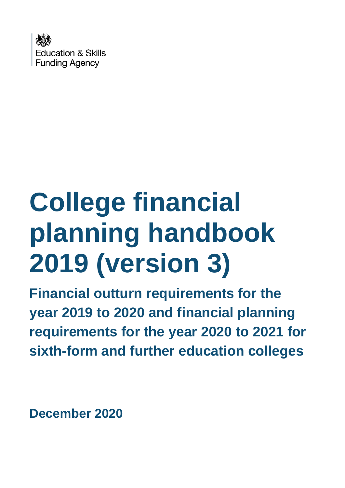

# **College financial planning handbook 2019 (version 3)**

**Financial outturn requirements for the year 2019 to 2020 and financial planning requirements for the year 2020 to 2021 for sixth-form and further education colleges**

**December 2020**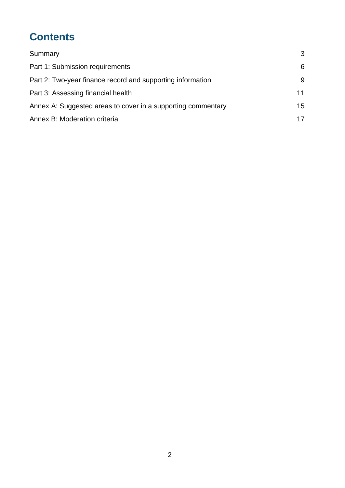# **Contents**

| Summary                                                      | 3  |
|--------------------------------------------------------------|----|
| Part 1: Submission requirements                              | 6  |
| Part 2: Two-year finance record and supporting information   | 9  |
| Part 3: Assessing financial health                           | 11 |
| Annex A: Suggested areas to cover in a supporting commentary | 15 |
| Annex B: Moderation criteria                                 | 17 |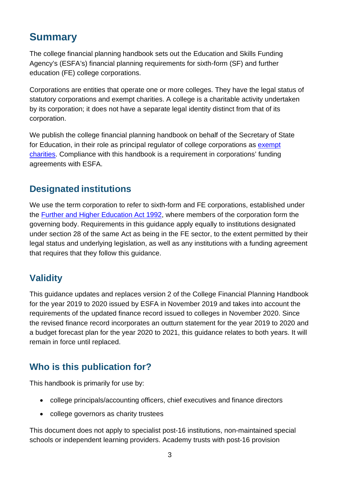# <span id="page-2-0"></span>**Summary**

The college financial planning handbook sets out the Education and Skills Funding Agency's (ESFA's) financial planning requirements for sixth-form (SF) and further education (FE) college corporations.

Corporations are entities that operate one or more colleges. They have the legal status of statutory corporations and exempt charities. A college is a charitable activity undertaken by its corporation; it does not have a separate legal identity distinct from that of its corporation.

We publish the college financial planning handbook on behalf of the Secretary of State for Education, in their role as principal regulator of college corporations as [exempt](https://www.gov.uk/government/publications/exempt-charities-cc23)  [charities.](https://www.gov.uk/government/publications/exempt-charities-cc23) Compliance with this handbook is a requirement in corporations' funding agreements with ESFA.

# **Designated institutions**

We use the term corporation to refer to sixth-form and FE corporations, established under the [Further and Higher Education Act 1992,](http://www.legislation.gov.uk/ukpga/1992/13/contents) where members of the corporation form the governing body. Requirements in this guidance apply equally to institutions designated under section 28 of the same Act as being in the FE sector, to the extent permitted by their legal status and underlying legislation, as well as any institutions with a funding agreement that requires that they follow this guidance.

# **Validity**

This guidance updates and replaces version 2 of the College Financial Planning Handbook for the year 2019 to 2020 issued by ESFA in November 2019 and takes into account the requirements of the updated finance record issued to colleges in November 2020. Since the revised finance record incorporates an outturn statement for the year 2019 to 2020 and a budget forecast plan for the year 2020 to 2021, this guidance relates to both years. It will remain in force until replaced.

# **Who is this publication for?**

This handbook is primarily for use by:

- college principals/accounting officers, chief executives and finance directors
- college governors as charity trustees

This document does not apply to specialist post-16 institutions, non-maintained special schools or independent learning providers. Academy trusts with post-16 provision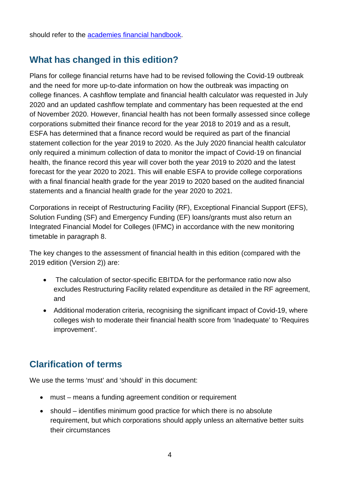should refer to the **academies** financial handbook.

## **What has changed in this edition?**

Plans for college financial returns have had to be revised following the Covid-19 outbreak and the need for more up-to-date information on how the outbreak was impacting on college finances. A cashflow template and financial health calculator was requested in July 2020 and an updated cashflow template and commentary has been requested at the end of November 2020. However, financial health has not been formally assessed since college corporations submitted their finance record for the year 2018 to 2019 and as a result, ESFA has determined that a finance record would be required as part of the financial statement collection for the year 2019 to 2020. As the July 2020 financial health calculator only required a minimum collection of data to monitor the impact of Covid-19 on financial health, the finance record this year will cover both the year 2019 to 2020 and the latest forecast for the year 2020 to 2021. This will enable ESFA to provide college corporations with a final financial health grade for the year 2019 to 2020 based on the audited financial statements and a financial health grade for the year 2020 to 2021.

Corporations in receipt of Restructuring Facility (RF), Exceptional Financial Support (EFS), Solution Funding (SF) and Emergency Funding (EF) loans/grants must also return an Integrated Financial Model for Colleges (IFMC) in accordance with the new monitoring timetable in paragraph 8.

The key changes to the assessment of financial health in this edition (compared with the 2019 edition (Version 2)) are:

- The calculation of sector-specific EBITDA for the performance ratio now also excludes Restructuring Facility related expenditure as detailed in the RF agreement, and
- Additional moderation criteria, recognising the significant impact of Covid-19, where colleges wish to moderate their financial health score from 'Inadequate' to 'Requires improvement'.

# **Clarification of terms**

We use the terms 'must' and 'should' in this document:

- must means a funding agreement condition or requirement
- should identifies minimum good practice for which there is no absolute requirement, but which corporations should apply unless an alternative better suits their circumstances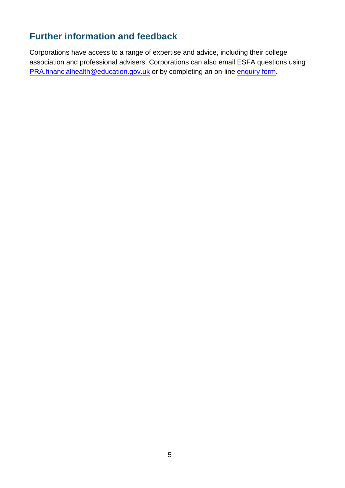# **Further information and feedback**

Corporations have access to a range of expertise and advice, including their college association and professional advisers. Corporations can also email ESFA questions using [PRA.financialhealth@education.gov.uk](mailto:PRA.financialhealth@education.gov.uk) or by completing an on-line [enquiry form.](https://form.education.gov.uk/en/AchieveForms/?form_uri=sandbox-publish://AF-Process-f9f4f5a1-936f-448b-bbeb-9dcdd595f468/AF-Stage-8aa41278-3cdd-45a3-ad87-80cbffb8b992/definition.json&redirectlink=%2Fen&cancelRedirectLink=%2Fen&consentMessage=yes)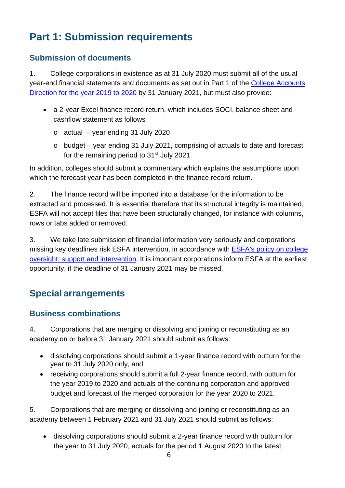# <span id="page-5-0"></span>**Part 1: Submission requirements**

#### **Submission of documents**

1. College corporations in existence as at 31 July 2020 must submit all of the usual year-end financial statements and documents as set out in Part 1 of the [College Accounts](https://www.gov.uk/government/publications/college-accounts-direction/college-accounts-direction-2019-to-2020)  [Direction for the year 2019 to 2020](https://www.gov.uk/government/publications/college-accounts-direction/college-accounts-direction-2019-to-2020) by 31 January 2021, but must also provide:

- a 2-year Excel finance record return, which includes SOCI, balance sheet and cashflow statement as follows
	- $\circ$  actual year ending 31 July 2020
	- o budget year ending 31 July 2021, comprising of actuals to date and forecast for the remaining period to 31<sup>st</sup> July 2021

In addition, colleges should submit a commentary which explains the assumptions upon which the forecast year has been completed in the finance record return.

2. The finance record will be imported into a database for the information to be extracted and processed. It is essential therefore that its structural integrity is maintained. ESFA will not accept files that have been structurally changed, for instance with columns, rows or tabs added or removed.

3. We take late submission of financial information very seriously and corporations missing key deadlines risk ESFA intervention, in accordance with ESFA's policy on college [oversight: support and intervention.](https://www.gov.uk/government/publications/college-oversight-support-and-intervention) It is important corporations inform ESFA at the earliest opportunity, if the deadline of 31 January 2021 may be missed.

# **Special arrangements**

#### **Business combinations**

4. Corporations that are merging or dissolving and joining or reconstituting as an academy on or before 31 January 2021 should submit as follows:

- dissolving corporations should submit a 1-year finance record with outturn for the year to 31 July 2020 only, and
- receiving corporations should submit a full 2-year finance record, with outturn for the year 2019 to 2020 and actuals of the continuing corporation and approved budget and forecast of the merged corporation for the year 2020 to 2021.

5. Corporations that are merging or dissolving and joining or reconstituting as an academy between 1 February 2021 and 31 July 2021 should submit as follows:

• dissolving corporations should submit a 2-year finance record with outturn for the year to 31 July 2020, actuals for the period 1 August 2020 to the latest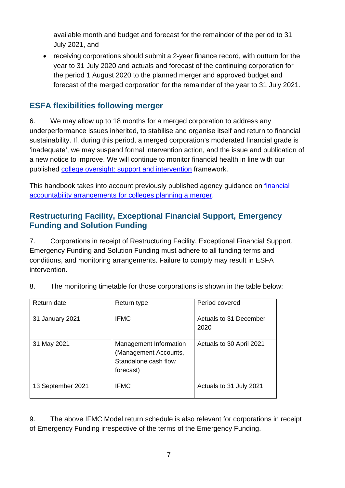available month and budget and forecast for the remainder of the period to 31 July 2021, and

• receiving corporations should submit a 2-year finance record, with outturn for the year to 31 July 2020 and actuals and forecast of the continuing corporation for the period 1 August 2020 to the planned merger and approved budget and forecast of the merged corporation for the remainder of the year to 31 July 2021.

#### **ESFA flexibilities following merger**

6. We may allow up to 18 months for a merged corporation to address any underperformance issues inherited, to stabilise and organise itself and return to financial sustainability. If, during this period, a merged corporation's moderated financial grade is 'inadequate', we may suspend formal intervention action, and the issue and publication of a new notice to improve. We will continue to monitor financial health in line with our published [college oversight: support and intervention](https://www.gov.uk/government/publications/college-oversight-support-and-intervention) framework.

This handbook takes into account previously published agency guidance on *financial* [accountability arrangements for colleges planning a merger.](https://www.gov.uk/guidance/financial-accountability-arrangements-for-colleges-planning-a-merger)

#### **Restructuring Facility, Exceptional Financial Support, Emergency Funding and Solution Funding**

7. Corporations in receipt of Restructuring Facility, Exceptional Financial Support, Emergency Funding and Solution Funding must adhere to all funding terms and conditions, and monitoring arrangements. Failure to comply may result in ESFA intervention.

| Return date       | Return type                                                                          | Period covered                 |
|-------------------|--------------------------------------------------------------------------------------|--------------------------------|
| 31 January 2021   | <b>IFMC</b>                                                                          | Actuals to 31 December<br>2020 |
| 31 May 2021       | Management Information<br>(Management Accounts,<br>Standalone cash flow<br>forecast) | Actuals to 30 April 2021       |
| 13 September 2021 | <b>IFMC</b>                                                                          | Actuals to 31 July 2021        |

8. The monitoring timetable for those corporations is shown in the table below:

9. The above IFMC Model return schedule is also relevant for corporations in receipt of Emergency Funding irrespective of the terms of the Emergency Funding.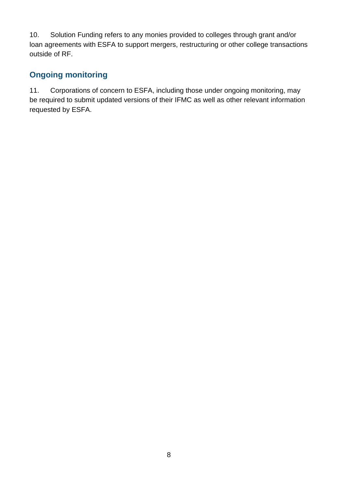10. Solution Funding refers to any monies provided to colleges through grant and/or loan agreements with ESFA to support mergers, restructuring or other college transactions outside of RF.

## **Ongoing monitoring**

11. Corporations of concern to ESFA, including those under ongoing monitoring, may be required to submit updated versions of their IFMC as well as other relevant information requested by ESFA.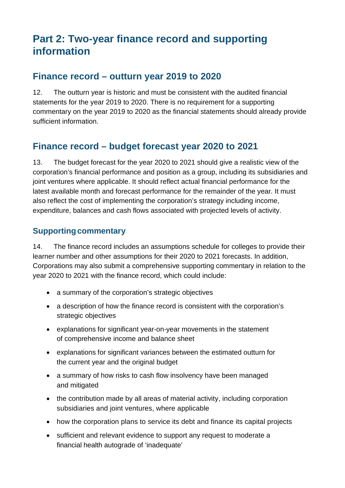# <span id="page-8-0"></span>**Part 2: Two-year finance record and supporting information**

#### **Finance record – outturn year 2019 to 2020**

12. The outturn year is historic and must be consistent with the audited financial statements for the year 2019 to 2020. There is no requirement for a supporting commentary on the year 2019 to 2020 as the financial statements should already provide sufficient information.

#### **Finance record – budget forecast year 2020 to 2021**

13. The budget forecast for the year 2020 to 2021 should give a realistic view of the corporation's financial performance and position as a group, including its subsidiaries and joint ventures where applicable. It should reflect actual financial performance for the latest available month and forecast performance for the remainder of the year. It must also reflect the cost of implementing the corporation's strategy including income, expenditure, balances and cash flows associated with projected levels of activity.

#### **Supportingcommentary**

14. The finance record includes an assumptions schedule for colleges to provide their learner number and other assumptions for their 2020 to 2021 forecasts. In addition, Corporations may also submit a comprehensive supporting commentary in relation to the year 2020 to 2021 with the finance record, which could include:

- a summary of the corporation's strategic objectives
- a description of how the finance record is consistent with the corporation's strategic objectives
- explanations for significant year-on-year movements in the statement of comprehensive income and balance sheet
- explanations for significant variances between the estimated outturn for the current year and the original budget
- a summary of how risks to cash flow insolvency have been managed and mitigated
- the contribution made by all areas of material activity, including corporation subsidiaries and joint ventures, where applicable
- how the corporation plans to service its debt and finance its capital projects
- sufficient and relevant evidence to support any request to moderate a financial health autograde of 'inadequate'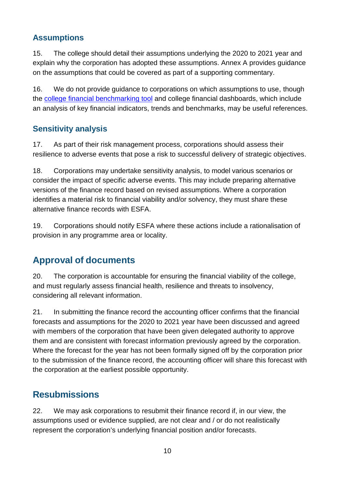#### **Assumptions**

15. The college should detail their assumptions underlying the 2020 to 2021 year and explain why the corporation has adopted these assumptions. Annex A provides guidance on the assumptions that could be covered as part of a supporting commentary.

16. We do not provide guidance to corporations on which assumptions to use, though the [college financial benchmarking tool](https://www.gov.uk/government/publications/financial-benchmarking-tool-for-colleges) and college financial dashboards, which include an analysis of key financial indicators, trends and benchmarks, may be useful references.

#### **Sensitivity analysis**

17. As part of their risk management process, corporations should assess their resilience to adverse events that pose a risk to successful delivery of strategic objectives.

18. Corporations may undertake sensitivity analysis, to model various scenarios or consider the impact of specific adverse events. This may include preparing alternative versions of the finance record based on revised assumptions. Where a corporation identifies a material risk to financial viability and/or solvency, they must share these alternative finance records with ESFA.

19. Corporations should notify ESFA where these actions include a rationalisation of provision in any programme area or locality.

# **Approval of documents**

20. The corporation is accountable for ensuring the financial viability of the college, and must regularly assess financial health, resilience and threats to insolvency, considering all relevant information.

21. In submitting the finance record the accounting officer confirms that the financial forecasts and assumptions for the 2020 to 2021 year have been discussed and agreed with members of the corporation that have been given delegated authority to approve them and are consistent with forecast information previously agreed by the corporation. Where the forecast for the year has not been formally signed off by the corporation prior to the submission of the finance record, the accounting officer will share this forecast with the corporation at the earliest possible opportunity.

# **Resubmissions**

22. We may ask corporations to resubmit their finance record if, in our view, the assumptions used or evidence supplied, are not clear and / or do not realistically represent the corporation's underlying financial position and/or forecasts.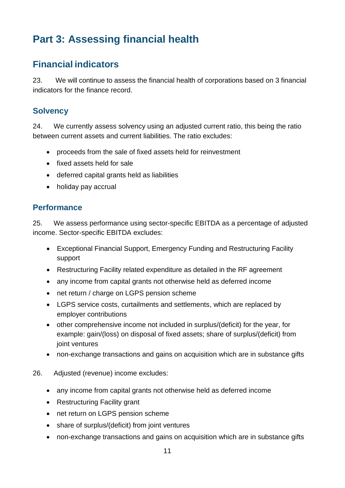# <span id="page-10-0"></span>**Part 3: Assessing financial health**

## **Financial indicators**

23. We will continue to assess the financial health of corporations based on 3 financial indicators for the finance record.

#### **Solvency**

24. We currently assess solvency using an adjusted current ratio, this being the ratio between current assets and current liabilities. The ratio excludes:

- proceeds from the sale of fixed assets held for reinvestment
- fixed assets held for sale
- deferred capital grants held as liabilities
- holiday pay accrual

#### **Performance**

25. We assess performance using sector-specific EBITDA as a percentage of adjusted income. Sector-specific EBITDA excludes:

- Exceptional Financial Support, Emergency Funding and Restructuring Facility support
- Restructuring Facility related expenditure as detailed in the RF agreement
- any income from capital grants not otherwise held as deferred income
- net return / charge on LGPS pension scheme
- LGPS service costs, curtailments and settlements, which are replaced by employer contributions
- other comprehensive income not included in surplus/(deficit) for the year, for example: gain/(loss) on disposal of fixed assets; share of surplus/(deficit) from joint ventures
- non-exchange transactions and gains on acquisition which are in substance gifts
- 26. Adjusted (revenue) income excludes:
	- any income from capital grants not otherwise held as deferred income
	- Restructuring Facility grant
	- net return on LGPS pension scheme
	- share of surplus/(deficit) from joint ventures
	- non-exchange transactions and gains on acquisition which are in substance gifts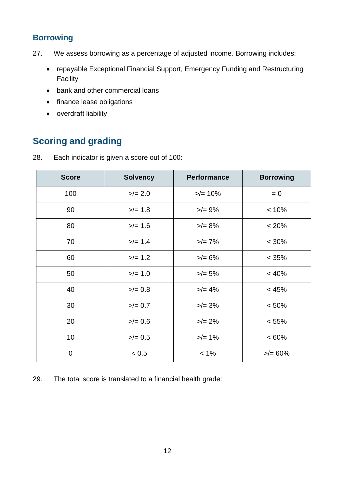## **Borrowing**

- 27. We assess borrowing as a percentage of adjusted income. Borrowing includes:
	- repayable Exceptional Financial Support, Emergency Funding and Restructuring Facility
	- bank and other commercial loans
	- finance lease obligations
	- overdraft liability

# **Scoring and grading**

| 28. | Each indicator is given a score out of 100: |  |
|-----|---------------------------------------------|--|
|-----|---------------------------------------------|--|

| <b>Score</b> | <b>Solvency</b> | <b>Performance</b> | <b>Borrowing</b> |
|--------------|-----------------|--------------------|------------------|
| 100          | $>=2.0$         | $>$ /= 10%         | $= 0$            |
| 90           | $>$ /= 1.8      | $>= 9\%$           | < 10%            |
| 80           | $>$ /= 1.6      | $>= 8%$            | < 20%            |
| 70           | $>$ /= 1.4      | $>= 7\%$           | $< 30\%$         |
| 60           | $>$ /= 1.2      | $>= 6\%$           | $< 35\%$         |
| 50           | $>$ /= 1.0      | $>= 5%$            | < 40%            |
| 40           | $> = 0.8$       | $>= 4\%$           | < 45%            |
| 30           | $> = 0.7$       | $>$ /= 3%          | $< 50\%$         |
| 20           | $>\!/=0.6$      | $>$ /= 2%          | $< 55\%$         |
| 10           | $> = 0.5$       | $>$ /= 1%          | $<60\%$          |
| $\mathbf 0$  | < 0.5           | $< 1\%$            | $>= 60%$         |

29. The total score is translated to a financial health grade: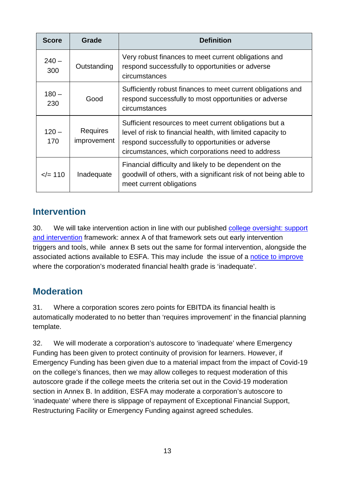| <b>Score</b>   | Grade                          | <b>Definition</b>                                                                                                                                                                                                              |
|----------------|--------------------------------|--------------------------------------------------------------------------------------------------------------------------------------------------------------------------------------------------------------------------------|
| $240 -$<br>300 | Outstanding                    | Very robust finances to meet current obligations and<br>respond successfully to opportunities or adverse<br>circumstances                                                                                                      |
| $180 -$<br>230 | Good                           | Sufficiently robust finances to meet current obligations and<br>respond successfully to most opportunities or adverse<br>circumstances                                                                                         |
| $120 -$<br>170 | <b>Requires</b><br>improvement | Sufficient resources to meet current obligations but a<br>level of risk to financial health, with limited capacity to<br>respond successfully to opportunities or adverse<br>circumstances, which corporations need to address |
| $\le$ /= 110   | Inadequate                     | Financial difficulty and likely to be dependent on the<br>goodwill of others, with a significant risk of not being able to<br>meet current obligations                                                                         |

#### **Intervention**

30. We will take intervention action in line with our published [college oversight: support](https://www.gov.uk/government/publications/college-oversight-support-and-intervention)  [and intervention](https://www.gov.uk/government/publications/college-oversight-support-and-intervention) framework: annex A of that framework sets out early intervention triggers and tools, while annex B sets out the same for formal intervention, alongside the associated actions available to ESFA. This may include the issue of a [notice to improve](https://www.gov.uk/government/collections/colleges-and-higher-education-institutions-notices-to-improve) where the corporation's moderated financial health grade is 'inadequate'.

# **Moderation**

31. Where a corporation scores zero points for EBITDA its financial health is automatically moderated to no better than 'requires improvement' in the financial planning template.

32. We will moderate a corporation's autoscore to 'inadequate' where Emergency Funding has been given to protect continuity of provision for learners. However, if Emergency Funding has been given due to a material impact from the impact of Covid-19 on the college's finances, then we may allow colleges to request moderation of this autoscore grade if the college meets the criteria set out in the Covid-19 moderation section in Annex B. In addition, ESFA may moderate a corporation's autoscore to 'inadequate' where there is slippage of repayment of Exceptional Financial Support, Restructuring Facility or Emergency Funding against agreed schedules.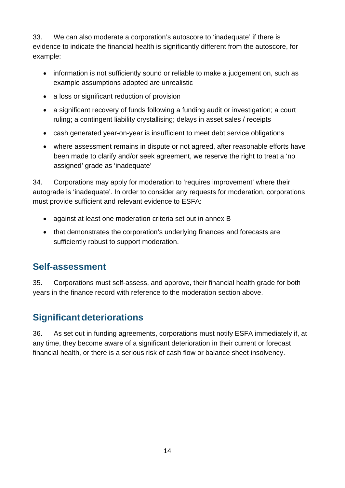33. We can also moderate a corporation's autoscore to 'inadequate' if there is evidence to indicate the financial health is significantly different from the autoscore, for example:

- information is not sufficiently sound or reliable to make a judgement on, such as example assumptions adopted are unrealistic
- a loss or significant reduction of provision
- a significant recovery of funds following a funding audit or investigation; a court ruling; a contingent liability crystallising; delays in asset sales / receipts
- cash generated year-on-year is insufficient to meet debt service obligations
- where assessment remains in dispute or not agreed, after reasonable efforts have been made to clarify and/or seek agreement, we reserve the right to treat a 'no assigned' grade as 'inadequate'

34. Corporations may apply for moderation to 'requires improvement' where their autograde is 'inadequate'. In order to consider any requests for moderation, corporations must provide sufficient and relevant evidence to ESFA:

- against at least one moderation criteria set out in annex B
- that demonstrates the corporation's underlying finances and forecasts are sufficiently robust to support moderation.

# **Self-assessment**

35. Corporations must self-assess, and approve, their financial health grade for both years in the finance record with reference to the moderation section above.

# **Significant deteriorations**

36. As set out in funding agreements, corporations must notify ESFA immediately if, at any time, they become aware of a significant deterioration in their current or forecast financial health, or there is a serious risk of cash flow or balance sheet insolvency.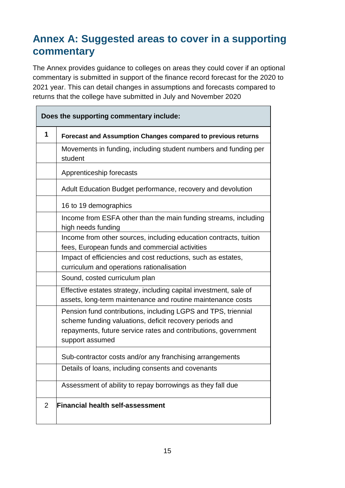# <span id="page-14-0"></span>**Annex A: Suggested areas to cover in a supporting commentary**

The Annex provides guidance to colleges on areas they could cover if an optional commentary is submitted in support of the finance record forecast for the 2020 to 2021 year. This can detail changes in assumptions and forecasts compared to returns that the college have submitted in July and November 2020

| Does the supporting commentary include: |                                                                                                                                                                                                               |  |
|-----------------------------------------|---------------------------------------------------------------------------------------------------------------------------------------------------------------------------------------------------------------|--|
| 1                                       | Forecast and Assumption Changes compared to previous returns                                                                                                                                                  |  |
|                                         | Movements in funding, including student numbers and funding per<br>student                                                                                                                                    |  |
|                                         | Apprenticeship forecasts                                                                                                                                                                                      |  |
|                                         | Adult Education Budget performance, recovery and devolution                                                                                                                                                   |  |
|                                         | 16 to 19 demographics                                                                                                                                                                                         |  |
|                                         | Income from ESFA other than the main funding streams, including<br>high needs funding                                                                                                                         |  |
|                                         | Income from other sources, including education contracts, tuition<br>fees, European funds and commercial activities                                                                                           |  |
|                                         | Impact of efficiencies and cost reductions, such as estates,<br>curriculum and operations rationalisation                                                                                                     |  |
|                                         | Sound, costed curriculum plan                                                                                                                                                                                 |  |
|                                         | Effective estates strategy, including capital investment, sale of<br>assets, long-term maintenance and routine maintenance costs                                                                              |  |
|                                         | Pension fund contributions, including LGPS and TPS, triennial<br>scheme funding valuations, deficit recovery periods and<br>repayments, future service rates and contributions, government<br>support assumed |  |
|                                         | Sub-contractor costs and/or any franchising arrangements                                                                                                                                                      |  |
|                                         | Details of loans, including consents and covenants                                                                                                                                                            |  |
|                                         | Assessment of ability to repay borrowings as they fall due                                                                                                                                                    |  |
| 2                                       | Financial health self-assessment                                                                                                                                                                              |  |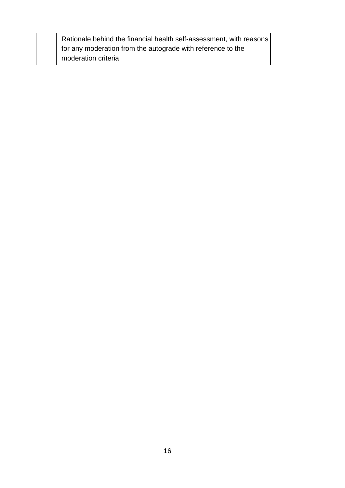Rationale behind the financial health self-assessment, with reasons for any moderation from the autograde with reference to the moderation criteria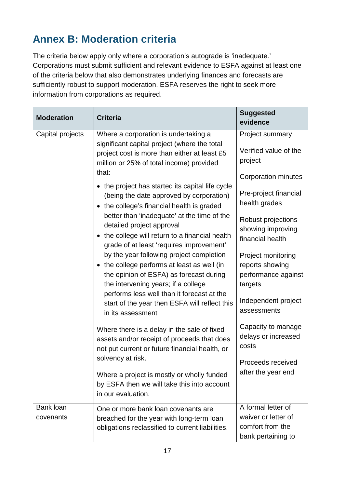# <span id="page-16-0"></span>**Annex B: Moderation criteria**

The criteria below apply only where a corporation's autograde is 'inadequate.' Corporations must submit sufficient and relevant evidence to ESFA against at least one of the criteria below that also demonstrates underlying finances and forecasts are sufficiently robust to support moderation. ESFA reserves the right to seek more information from corporations as required.

| <b>Moderation</b>             | <b>Criteria</b>                                                                                                                                                                           | <b>Suggested</b><br>evidence                                                        |
|-------------------------------|-------------------------------------------------------------------------------------------------------------------------------------------------------------------------------------------|-------------------------------------------------------------------------------------|
| Capital projects              | Where a corporation is undertaking a<br>significant capital project (where the total<br>project cost is more than either at least £5<br>million or 25% of total income) provided<br>that: | Project summary<br>Verified value of the<br>project                                 |
|                               | • the project has started its capital life cycle<br>(being the date approved by corporation)                                                                                              | <b>Corporation minutes</b><br>Pre-project financial                                 |
|                               | • the college's financial health is graded<br>better than 'inadequate' at the time of the                                                                                                 | health grades<br>Robust projections                                                 |
|                               | detailed project approval<br>• the college will return to a financial health<br>grade of at least 'requires improvement'                                                                  | showing improving<br>financial health                                               |
|                               | by the year following project completion<br>• the college performs at least as well (in                                                                                                   | Project monitoring<br>reports showing                                               |
|                               | the opinion of ESFA) as forecast during<br>the intervening years; if a college<br>performs less well than it forecast at the                                                              | performance against<br>targets                                                      |
|                               | start of the year then ESFA will reflect this<br>in its assessment                                                                                                                        | Independent project<br>assessments                                                  |
|                               | Where there is a delay in the sale of fixed<br>assets and/or receipt of proceeds that does<br>not put current or future financial health, or                                              | Capacity to manage<br>delays or increased<br>costs                                  |
|                               | solvency at risk.<br>Where a project is mostly or wholly funded<br>by ESFA then we will take this into account<br>in our evaluation.                                                      | Proceeds received<br>after the year end                                             |
| <b>Bank loan</b><br>covenants | One or more bank loan covenants are<br>breached for the year with long-term loan<br>obligations reclassified to current liabilities.                                                      | A formal letter of<br>waiver or letter of<br>comfort from the<br>bank pertaining to |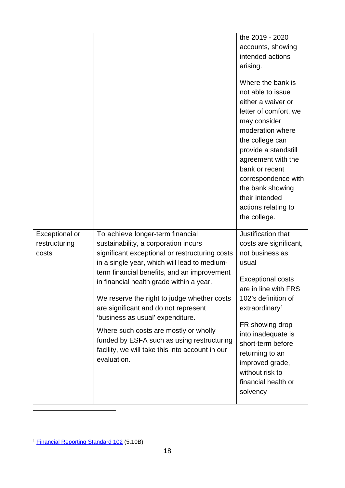|                                          |                                                                                                                                                                                           | the 2019 - 2020<br>accounts, showing<br>intended actions<br>arising.                                                                                                                                                                                                                                             |
|------------------------------------------|-------------------------------------------------------------------------------------------------------------------------------------------------------------------------------------------|------------------------------------------------------------------------------------------------------------------------------------------------------------------------------------------------------------------------------------------------------------------------------------------------------------------|
|                                          |                                                                                                                                                                                           | Where the bank is<br>not able to issue<br>either a waiver or<br>letter of comfort, we<br>may consider<br>moderation where<br>the college can<br>provide a standstill<br>agreement with the<br>bank or recent<br>correspondence with<br>the bank showing<br>their intended<br>actions relating to<br>the college. |
| Exceptional or<br>restructuring<br>costs | To achieve longer-term financial<br>sustainability, a corporation incurs<br>significant exceptional or restructuring costs<br>in a single year, which will lead to medium-                | Justification that<br>costs are significant,<br>not business as<br>usual                                                                                                                                                                                                                                         |
|                                          | term financial benefits, and an improvement<br>in financial health grade within a year.<br>We reserve the right to judge whether costs<br>are significant and do not represent            | <b>Exceptional costs</b><br>are in line with FRS<br>102's definition of<br>extraordinary <sup>1</sup>                                                                                                                                                                                                            |
|                                          | 'business as usual' expenditure.<br>Where such costs are mostly or wholly<br>funded by ESFA such as using restructuring<br>facility, we will take this into account in our<br>evaluation. | FR showing drop<br>into inadequate is<br>short-term before<br>returning to an<br>improved grade,<br>without risk to<br>financial health or<br>solvency                                                                                                                                                           |

<span id="page-17-0"></span><sup>1</sup> [Financial Reporting Standard 102](https://www.frc.org.uk/getattachment/e1d6b167-6cdb-4550-bde3-f94484226fbd/FRS-102-WEB-Ready-2015.pdf) (5.10B)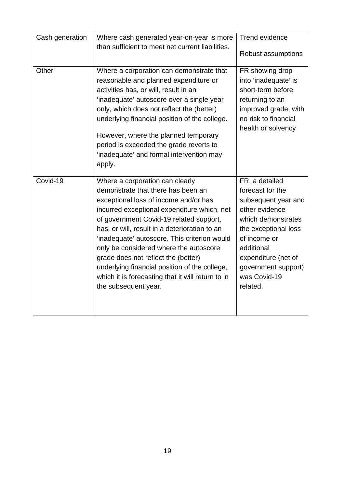| Cash generation | Where cash generated year-on-year is more<br>than sufficient to meet net current liabilities.                                                                                                                                                                                                                                                                                                                                                                                                                            | Trend evidence                                                                                                                                                                                                                    |
|-----------------|--------------------------------------------------------------------------------------------------------------------------------------------------------------------------------------------------------------------------------------------------------------------------------------------------------------------------------------------------------------------------------------------------------------------------------------------------------------------------------------------------------------------------|-----------------------------------------------------------------------------------------------------------------------------------------------------------------------------------------------------------------------------------|
|                 |                                                                                                                                                                                                                                                                                                                                                                                                                                                                                                                          | Robust assumptions                                                                                                                                                                                                                |
| Other           | Where a corporation can demonstrate that<br>reasonable and planned expenditure or<br>activities has, or will, result in an<br>'inadequate' autoscore over a single year<br>only, which does not reflect the (better)<br>underlying financial position of the college.<br>However, where the planned temporary<br>period is exceeded the grade reverts to<br>'inadequate' and formal intervention may<br>apply.                                                                                                           | FR showing drop<br>into 'inadequate' is<br>short-term before<br>returning to an<br>improved grade, with<br>no risk to financial<br>health or solvency                                                                             |
| Covid-19        | Where a corporation can clearly<br>demonstrate that there has been an<br>exceptional loss of income and/or has<br>incurred exceptional expenditure which, net<br>of government Covid-19 related support,<br>has, or will, result in a deterioration to an<br>'inadequate' autoscore. This criterion would<br>only be considered where the autoscore<br>grade does not reflect the (better)<br>underlying financial position of the college,<br>which it is forecasting that it will return to in<br>the subsequent year. | FR, a detailed<br>forecast for the<br>subsequent year and<br>other evidence<br>which demonstrates<br>the exceptional loss<br>of income or<br>additional<br>expenditure (net of<br>government support)<br>was Covid-19<br>related. |